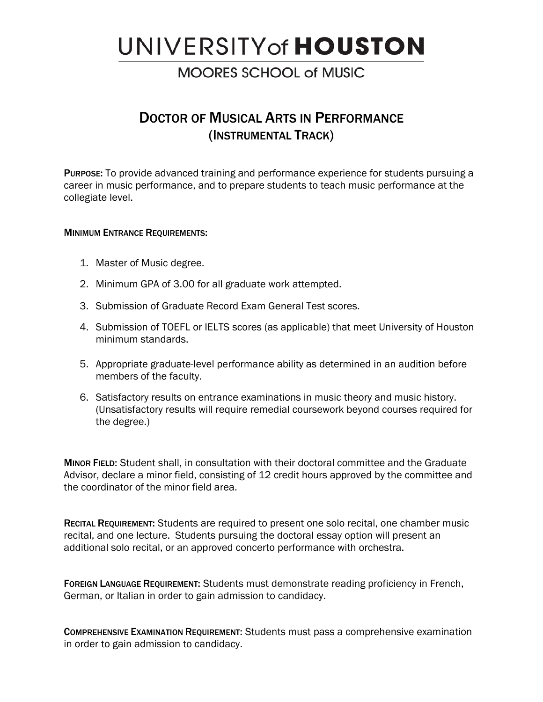# UNIVERSITY of **HOUSTON**

## **MOORES SCHOOL of MUSIC**

## DOCTOR OF MUSICAL ARTS IN PERFORMANCE (INSTRUMENTAL TRACK)

PURPOSE: To provide advanced training and performance experience for students pursuing a career in music performance, and to prepare students to teach music performance at the collegiate level.

## MINIMUM ENTRANCE REQUIREMENTS:

- 1. Master of Music degree.
- 2. Minimum GPA of 3.00 for all graduate work attempted.
- 3. Submission of Graduate Record Exam General Test scores.
- 4. Submission of TOEFL or IELTS scores (as applicable) that meet University of Houston minimum standards.
- 5. Appropriate graduate-level performance ability as determined in an audition before members of the faculty.
- 6. Satisfactory results on entrance examinations in music theory and music history. (Unsatisfactory results will require remedial coursework beyond courses required for the degree.)

MINOR FIELD: Student shall, in consultation with their doctoral committee and the Graduate Advisor, declare a minor field, consisting of 12 credit hours approved by the committee and the coordinator of the minor field area.

RECITAL REQUIREMENT: Students are required to present one solo recital, one chamber music recital, and one lecture. Students pursuing the doctoral essay option will present an additional solo recital, or an approved concerto performance with orchestra.

FOREIGN LANGUAGE REQUIREMENT: Students must demonstrate reading proficiency in French, German, or Italian in order to gain admission to candidacy.

COMPREHENSIVE EXAMINATION REQUIREMENT: Students must pass a comprehensive examination in order to gain admission to candidacy.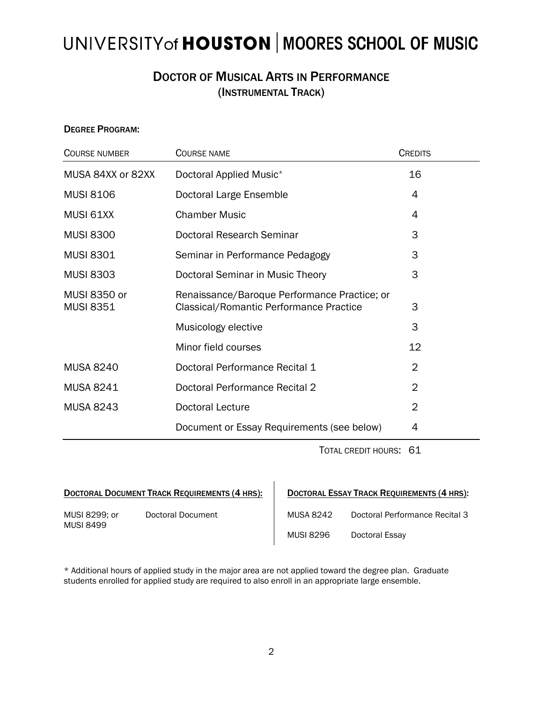## UNIVERSITY of HOUSTON | MOORES SCHOOL OF MUSIC

## DOCTOR OF MUSICAL ARTS IN PERFORMANCE (INSTRUMENTAL TRACK)

### DEGREE PROGRAM:

| <b>COURSE NUMBER</b>             | <b>COURSE NAME</b>                                                                      | <b>CREDITS</b> |
|----------------------------------|-----------------------------------------------------------------------------------------|----------------|
| MUSA 84XX or 82XX                | Doctoral Applied Music*                                                                 | 16             |
| <b>MUSI 8106</b>                 | Doctoral Large Ensemble                                                                 | 4              |
| MUSI 61XX                        | <b>Chamber Music</b>                                                                    | 4              |
| <b>MUSI 8300</b>                 | Doctoral Research Seminar                                                               | 3              |
| <b>MUSI 8301</b>                 | Seminar in Performance Pedagogy                                                         | 3              |
| <b>MUSI 8303</b>                 | Doctoral Seminar in Music Theory                                                        | 3              |
| MUSI 8350 or<br><b>MUSI 8351</b> | Renaissance/Baroque Performance Practice; or<br>Classical/Romantic Performance Practice | 3              |
|                                  | Musicology elective                                                                     | 3              |
|                                  | Minor field courses                                                                     | 12             |
| <b>MUSA 8240</b>                 | Doctoral Performance Recital 1                                                          | $\overline{2}$ |
| <b>MUSA 8241</b>                 | Doctoral Performance Recital 2                                                          | $\overline{2}$ |
| <b>MUSA 8243</b>                 | <b>Doctoral Lecture</b>                                                                 | $\overline{2}$ |
|                                  | Document or Essay Requirements (see below)                                              | 4              |

TOTAL CREDIT HOURS: 61

|                                   | <b>DOCTORAL DOCUMENT TRACK REQUIREMENTS (4 HRS):</b> | <b>DOCTORAL ESSAY TRACK REQUIREMENTS (4 HRS):</b> |                                |  |
|-----------------------------------|------------------------------------------------------|---------------------------------------------------|--------------------------------|--|
| MUSI 8299: or<br><b>MUSI 8499</b> | Doctoral Document                                    | <b>MUSA 8242</b>                                  | Doctoral Performance Recital 3 |  |

|           | <b>DOCTORAL ESSAY TRACK REQUIREMENTS (4 HRS):</b> |
|-----------|---------------------------------------------------|
| MUSA 8242 | Doctoral Performance Recital 3                    |

MUSI 8296 Doctoral Essay

\* Additional hours of applied study in the major area are not applied toward the degree plan. Graduate students enrolled for applied study are required to also enroll in an appropriate large ensemble.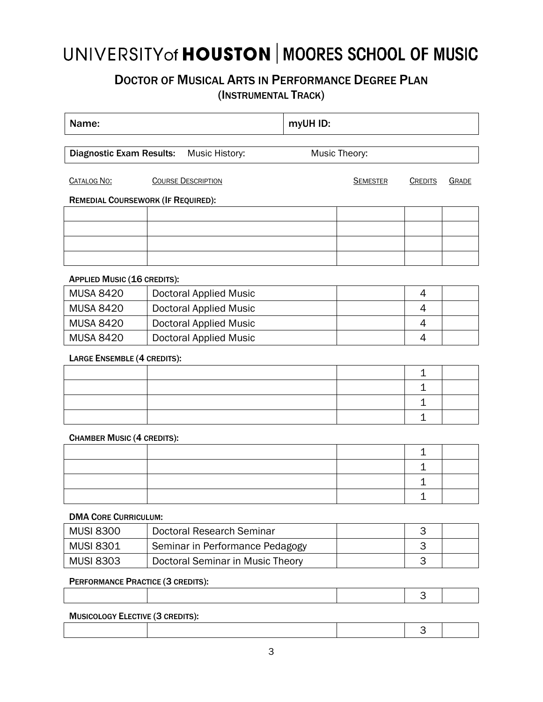## UNIVERSITY of HOUSTON | MOORES SCHOOL OF MUSIC

## DOCTOR OF MUSICAL ARTS IN PERFORMANCE DEGREE PLAN

(INSTRUMENTAL TRACK)

| Name:                                             |  | myUH ID:                         |  |                 |                |       |
|---------------------------------------------------|--|----------------------------------|--|-----------------|----------------|-------|
| <b>Diagnostic Exam Results:</b><br>Music History: |  | Music Theory:                    |  |                 |                |       |
| <b>CATALOG NO:</b>                                |  | <b>COURSE DESCRIPTION</b>        |  | <b>SEMESTER</b> | <b>CREDITS</b> | GRADE |
| <b>REMEDIAL COURSEWORK (IF REQUIRED):</b>         |  |                                  |  |                 |                |       |
|                                                   |  |                                  |  |                 |                |       |
|                                                   |  |                                  |  |                 |                |       |
|                                                   |  |                                  |  |                 |                |       |
|                                                   |  |                                  |  |                 |                |       |
| <b>APPLIED MUSIC (16 CREDITS):</b>                |  |                                  |  |                 |                |       |
| <b>MUSA 8420</b>                                  |  | <b>Doctoral Applied Music</b>    |  |                 | 4              |       |
| <b>MUSA 8420</b>                                  |  | <b>Doctoral Applied Music</b>    |  |                 | 4              |       |
| <b>MUSA 8420</b>                                  |  | <b>Doctoral Applied Music</b>    |  |                 | 4              |       |
| <b>MUSA 8420</b>                                  |  | <b>Doctoral Applied Music</b>    |  |                 | 4              |       |
| <b>LARGE ENSEMBLE (4 CREDITS):</b>                |  |                                  |  |                 |                |       |
|                                                   |  |                                  |  |                 | 1              |       |
|                                                   |  |                                  |  |                 | 1              |       |
|                                                   |  |                                  |  |                 | $\mathbf 1$    |       |
|                                                   |  |                                  |  |                 | 1              |       |
| <b>CHAMBER MUSIC (4 CREDITS):</b>                 |  |                                  |  |                 |                |       |
|                                                   |  |                                  |  |                 | $\mathbf 1$    |       |
|                                                   |  |                                  |  |                 | 1              |       |
|                                                   |  |                                  |  |                 | 1              |       |
|                                                   |  |                                  |  |                 | $\mathbf 1$    |       |
| <b>DMA CORE CURRICULUM:</b>                       |  |                                  |  |                 |                |       |
| <b>MUSI 8300</b>                                  |  | <b>Doctoral Research Seminar</b> |  |                 | 3              |       |
| <b>MUSI 8301</b>                                  |  | Seminar in Performance Pedagogy  |  |                 | 3              |       |
| <b>MUSI 8303</b>                                  |  | Doctoral Seminar in Music Theory |  |                 | 3              |       |
| PERFORMANCE PRACTICE (3 CREDITS):                 |  |                                  |  |                 |                |       |
|                                                   |  |                                  |  |                 | 3              |       |

## 3